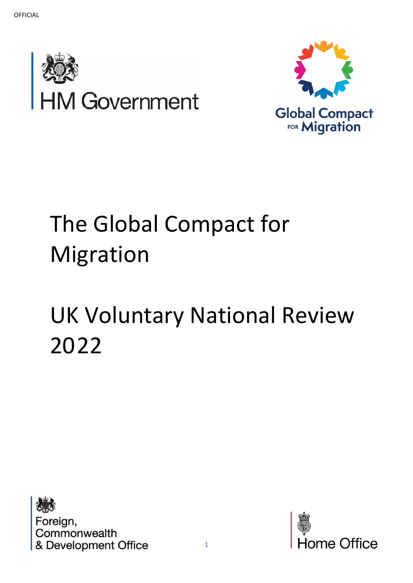



# The Global Compact for Migration

# UK Voluntary National Review 2022



Foreign, Commonwealth & Development Office

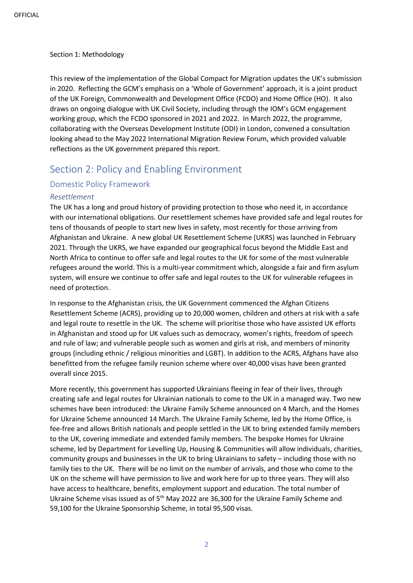#### Section 1: Methodology

This review of the implementation of the Global Compact for Migration updates the UK's submission in 2020. Reflecting the GCM's emphasis on a 'Whole of Government' approach, it is a joint product of the UK Foreign, Commonwealth and Development Office (FCDO) and Home Office (HO). It also draws on ongoing dialogue with UK Civil Society, including through the IOM's GCM engagement working group, which the FCDO sponsored in 2021 and 2022. In March 2022, the programme, collaborating with the Overseas Development Institute (ODI) in London, convened a consultation looking ahead to the May 2022 International Migration Review Forum, which provided valuable reflections as the UK government prepared this report.

# Section 2: Policy and Enabling Environment

#### Domestic Policy Framework

#### *Resettlement*

The UK has a long and proud history of providing protection to those who need it, in accordance with our international obligations. Our resettlement schemes have provided safe and legal routes for tens of thousands of people to start new lives in safety, most recently for those arriving from Afghanistan and Ukraine. A new global UK Resettlement Scheme (UKRS) was launched in February 2021. Through the UKRS, we have expanded our geographical focus beyond the Middle East and North Africa to continue to offer safe and legal routes to the UK for some of the most vulnerable refugees around the world. This is a multi-year commitment which, alongside a fair and firm asylum system, will ensure we continue to offer safe and legal routes to the UK for vulnerable refugees in need of protection.

In response to the Afghanistan crisis, the UK Government commenced the Afghan Citizens Resettlement Scheme (ACRS), providing up to 20,000 women, children and others at risk with a safe and legal route to resettle in the UK. The scheme will prioritise those who have assisted UK efforts in Afghanistan and stood up for UK values such as democracy, women's rights, freedom of speech and rule of law; and vulnerable people such as women and girls at risk, and members of minority groups (including ethnic / religious minorities and LGBT). In addition to the ACRS, Afghans have also benefitted from the refugee family reunion scheme where over 40,000 visas have been granted overall since 2015.

More recently, this government has supported Ukrainians fleeing in fear of their lives, through creating safe and legal routes for Ukrainian nationals to come to the UK in a managed way. Two new schemes have been introduced: the Ukraine Family Scheme announced on 4 March, and the Homes for Ukraine Scheme announced 14 March. The Ukraine Family Scheme, led by the Home Office, is fee-free and allows British nationals and people settled in the UK to bring extended family members to the UK, covering immediate and extended family members. The bespoke Homes for Ukraine scheme, led by Department for Levelling Up, Housing & Communities will allow individuals, charities, community groups and businesses in the UK to bring Ukrainians to safety – including those with no family ties to the UK. There will be no limit on the number of arrivals, and those who come to the UK on the scheme will have permission to live and work here for up to three years. They will also have access to healthcare, benefits, employment support and education. The total number of Ukraine Scheme visas issued as of 5<sup>th</sup> May 2022 are 36,300 for the Ukraine Family Scheme and 59,100 for the Ukraine Sponsorship Scheme, in total 95,500 visas.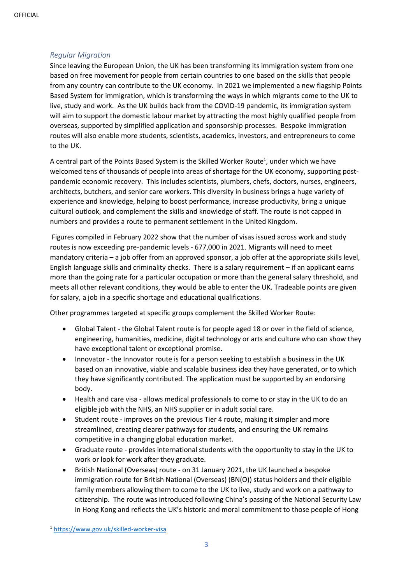#### *Regular Migration*

Since leaving the European Union, the UK has been transforming its immigration system from one based on free movement for people from certain countries to one based on the skills that people from any country can contribute to the UK economy. In 2021 we implemented a new flagship Points Based System for immigration, which is transforming the ways in which migrants come to the UK to live, study and work. As the UK builds back from the COVID-19 pandemic, its immigration system will aim to support the domestic labour market by attracting the most highly qualified people from overseas, supported by simplified application and sponsorship processes. Bespoke immigration routes will also enable more students, scientists, academics, investors, and entrepreneurs to come to the UK.

A central part of the Points Based System is the Skilled Worker Route<sup>1</sup>, under which we have welcomed tens of thousands of people into areas of shortage for the UK economy, supporting postpandemic economic recovery. This includes scientists, plumbers, chefs, doctors, nurses, engineers, architects, butchers, and senior care workers. This diversity in business brings a huge variety of experience and knowledge, helping to boost performance, increase productivity, bring a unique cultural outlook, and complement the skills and knowledge of staff. The route is not capped in numbers and provides a route to permanent settlement in the United Kingdom.

Figures compiled in February 2022 show that the number of visas issued across work and study routes is now exceeding pre-pandemic levels - 677,000 in 2021. Migrants will need to meet mandatory criteria – a job offer from an approved sponsor, a job offer at the appropriate skills level, English language skills and criminality checks. There is a salary requirement – if an applicant earns more than the going rate for a particular occupation or more than the general salary threshold, and meets all other relevant conditions, they would be able to enter the UK. Tradeable points are given for salary, a job in a specific shortage and educational qualifications.

Other programmes targeted at specific groups complement the Skilled Worker Route:

- Global Talent the Global Talent route is for people aged 18 or over in the field of science, engineering, humanities, medicine, digital technology or arts and culture who can show they have exceptional talent or exceptional promise.
- Innovator the Innovator route is for a person seeking to establish a business in the UK based on an innovative, viable and scalable business idea they have generated, or to which they have significantly contributed. The application must be supported by an endorsing body.
- Health and care visa allows medical professionals to come to or stay in the UK to do an eligible job with the NHS, an NHS supplier or in adult social care.
- Student route improves on the previous Tier 4 route, making it simpler and more streamlined, creating clearer pathways for students, and ensuring the UK remains competitive in a changing global education market.
- Graduate route provides international students with the opportunity to stay in the UK to work or look for work after they graduate.
- British National (Overseas) route on 31 January 2021, the UK launched a bespoke immigration route for British National (Overseas) (BN(O)) status holders and their eligible family members allowing them to come to the UK to live, study and work on a pathway to citizenship. The route was introduced following China's passing of the National Security Law in Hong Kong and reflects the UK's historic and moral commitment to those people of Hong

<sup>1</sup> <https://www.gov.uk/skilled-worker-visa>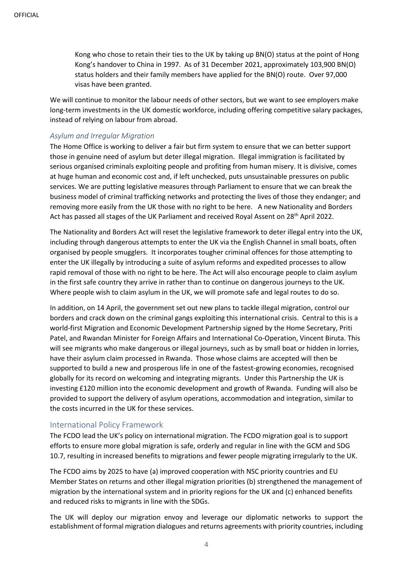Kong who chose to retain their ties to the UK by taking up BN(O) status at the point of Hong Kong's handover to China in 1997. As of 31 December 2021, approximately 103,900 BN(O) status holders and their family members have applied for the BN(O) route. Over 97,000 visas have been granted.

We will continue to monitor the labour needs of other sectors, but we want to see employers make long-term investments in the UK domestic workforce, including offering competitive salary packages, instead of relying on labour from abroad.

#### *Asylum and Irregular Migration*

The Home Office is working to deliver a fair but firm system to ensure that we can better support those in genuine need of asylum but deter illegal migration. Illegal immigration is facilitated by serious organised criminals exploiting people and profiting from human misery. It is divisive, comes at huge human and economic cost and, if left unchecked, puts unsustainable pressures on public services. We are putting legislative measures through Parliament to ensure that we can break the business model of criminal trafficking networks and protecting the lives of those they endanger; and removing more easily from the UK those with no right to be here. A new Nationality and Borders Act has passed all stages of the UK Parliament and received Royal Assent on 28<sup>th</sup> April 2022.

The Nationality and Borders Act will reset the legislative framework to deter illegal entry into the UK, including through dangerous attempts to enter the UK via the English Channel in small boats, often organised by people smugglers. It incorporates tougher criminal offences for those attempting to enter the UK illegally by introducing a suite of asylum reforms and expedited processes to allow rapid removal of those with no right to be here. The Act will also encourage people to claim asylum in the first safe country they arrive in rather than to continue on dangerous journeys to the UK. Where people wish to claim asylum in the UK, we will promote safe and legal routes to do so.

In addition, on 14 April, the government set out new plans to tackle illegal migration, control our borders and crack down on the criminal gangs exploiting this international crisis. Central to this is a world-first Migration and Economic Development Partnership signed by the Home Secretary, Priti Patel, and Rwandan Minister for Foreign Affairs and International Co-Operation, Vincent Biruta. This will see migrants who make dangerous or illegal journeys, such as by small boat or hidden in lorries, have their asylum claim processed in Rwanda. Those whose claims are accepted will then be supported to build a new and prosperous life in one of the fastest-growing economies, recognised globally for its record on welcoming and integrating migrants. Under this Partnership the UK is investing £120 million into the economic development and growth of Rwanda. Funding will also be provided to support the delivery of asylum operations, accommodation and integration, similar to the costs incurred in the UK for these services.

#### International Policy Framework

The FCDO lead the UK's policy on international migration. The FCDO migration goal is to support efforts to ensure more global migration is safe, orderly and regular in line with the GCM and SDG 10.7, resulting in increased benefits to migrations and fewer people migrating irregularly to the UK.

The FCDO aims by 2025 to have (a) improved cooperation with NSC priority countries and EU Member States on returns and other illegal migration priorities (b) strengthened the management of migration by the international system and in priority regions for the UK and (c) enhanced benefits and reduced risks to migrants in line with the SDGs.

The UK will deploy our migration envoy and leverage our diplomatic networks to support the establishment of formal migration dialogues and returns agreements with priority countries, including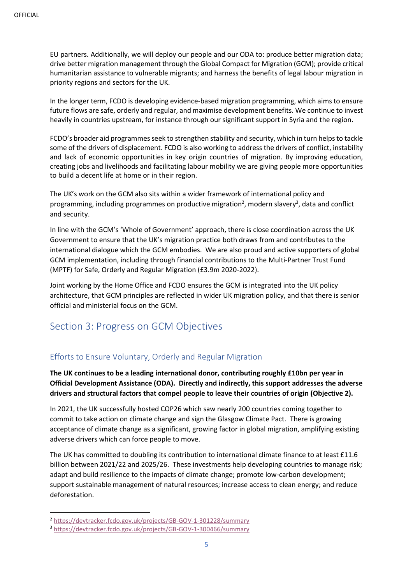EU partners. Additionally, we will deploy our people and our ODA to: produce better migration data; drive better migration management through the Global Compact for Migration (GCM); provide critical humanitarian assistance to vulnerable migrants; and harness the benefits of legal labour migration in priority regions and sectors for the UK.

In the longer term, FCDO is developing evidence-based migration programming, which aims to ensure future flows are safe, orderly and regular, and maximise development benefits. We continue to invest heavily in countries upstream, for instance through our significant support in Syria and the region.

FCDO's broader aid programmes seek to strengthen stability and security, which in turn helps to tackle some of the drivers of displacement. FCDO is also working to address the drivers of conflict, instability and lack of economic opportunities in key origin countries of migration. By improving education, creating jobs and livelihoods and facilitating labour mobility we are giving people more opportunities to build a decent life at home or in their region.

The UK's work on the GCM also sits within a wider framework of international policy and programming, including programmes on productive migration<sup>2</sup>, modern slavery<sup>3</sup>, data and conflict and security.

In line with the GCM's 'Whole of Government' approach, there is close coordination across the UK Government to ensure that the UK's migration practice both draws from and contributes to the international dialogue which the GCM embodies. We are also proud and active supporters of global GCM implementation, including through financial contributions to the Multi-Partner Trust Fund (MPTF) for Safe, Orderly and Regular Migration (£3.9m 2020-2022).

Joint working by the Home Office and FCDO ensures the GCM is integrated into the UK policy architecture, that GCM principles are reflected in wider UK migration policy, and that there is senior official and ministerial focus on the GCM.

# Section 3: Progress on GCM Objectives

### Efforts to Ensure Voluntary, Orderly and Regular Migration

**The UK continues to be a leading international donor, contributing roughly £10bn per year in Official Development Assistance (ODA). Directly and indirectly, this support addresses the adverse drivers and structural factors that compel people to leave their countries of origin (Objective 2).**

In 2021, the UK successfully hosted COP26 which saw nearly 200 countries coming together to commit to take action on climate change and sign the Glasgow Climate Pact. There is growing acceptance of climate change as a significant, growing factor in global migration, amplifying existing adverse drivers which can force people to move.

The UK has committed to doubling its contribution to international climate finance to at least £11.6 billion between 2021/22 and 2025/26. These investments help developing countries to manage risk; adapt and build resilience to the impacts of climate change; promote low-carbon development; support sustainable management of natural resources; increase access to clean energy; and reduce deforestation.

<sup>2</sup> <https://devtracker.fcdo.gov.uk/projects/GB-GOV-1-301228/summary>

<sup>3</sup> <https://devtracker.fcdo.gov.uk/projects/GB-GOV-1-300466/summary>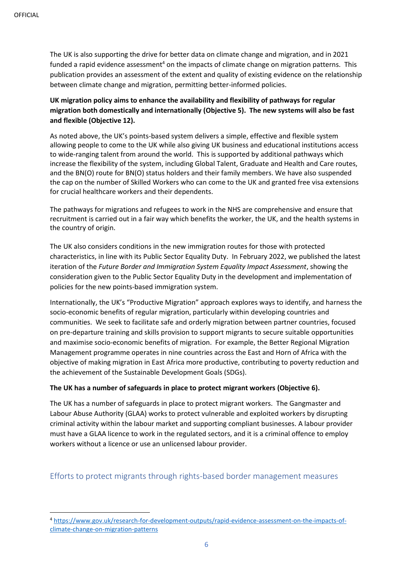The UK is also supporting the drive for better data on climate change and migration, and in 2021 funded a rapid evidence assessment<sup>4</sup> on the impacts of climate change on migration patterns. This publication provides an assessment of the extent and quality of existing evidence on the relationship between climate change and migration, permitting better-informed policies.

**UK migration policy aims to enhance the availability and flexibility of pathways for regular migration both domestically and internationally (Objective 5). The new systems will also be fast and flexible (Objective 12).**

As noted above, the UK's points-based system delivers a simple, effective and flexible system allowing people to come to the UK while also giving UK business and educational institutions access to wide-ranging talent from around the world. This is supported by additional pathways which increase the flexibility of the system, including Global Talent, Graduate and Health and Care routes, and the BN(O) route for BN(O) status holders and their family members. We have also suspended the cap on the number of Skilled Workers who can come to the UK and granted free visa extensions for crucial healthcare workers and their dependents.

The pathways for migrations and refugees to work in the NHS are comprehensive and ensure that recruitment is carried out in a fair way which benefits the worker, the UK, and the health systems in the country of origin.

The UK also considers conditions in the new immigration routes for those with protected characteristics, in line with its Public Sector Equality Duty. In February 2022, we published the latest iteration of the *Future Border and Immigration System Equality Impact Assessment*, showing the consideration given to the Public Sector Equality Duty in the development and implementation of policies for the new points-based immigration system.

Internationally, the UK's "Productive Migration" approach explores ways to identify, and harness the socio-economic benefits of regular migration, particularly within developing countries and communities. We seek to facilitate safe and orderly migration between partner countries, focused on pre-departure training and skills provision to support migrants to secure suitable opportunities and maximise socio-economic benefits of migration. For example, the Better Regional Migration Management programme operates in nine countries across the East and Horn of Africa with the objective of making migration in East Africa more productive, contributing to poverty reduction and the achievement of the Sustainable Development Goals (SDGs).

#### **The UK has a number of safeguards in place to protect migrant workers (Objective 6).**

The UK has a number of safeguards in place to protect migrant workers. The Gangmaster and Labour Abuse Authority (GLAA) works to protect vulnerable and exploited workers by disrupting criminal activity within the labour market and supporting compliant businesses. A labour provider must have a GLAA licence to work in the regulated sectors, and it is a criminal offence to employ workers without a licence or use an unlicensed labour provider.

#### Efforts to protect migrants through rights-based border management measures

<sup>4</sup> [https://www.gov.uk/research-for-development-outputs/rapid-evidence-assessment-on-the-impacts-of](https://www.gov.uk/research-for-development-outputs/rapid-evidence-assessment-on-the-impacts-of-climate-change-on-migration-patterns)[climate-change-on-migration-patterns](https://www.gov.uk/research-for-development-outputs/rapid-evidence-assessment-on-the-impacts-of-climate-change-on-migration-patterns)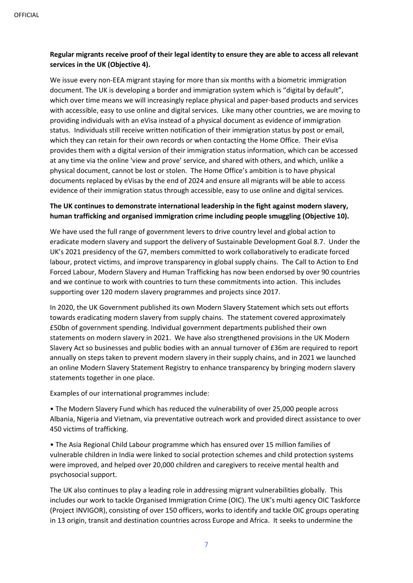#### **Regular migrants receive proof of their legal identity to ensure they are able to access all relevant services in the UK (Objective 4).**

We issue every non-EEA migrant staying for more than six months with a biometric immigration document. The UK is developing a border and immigration system which is "digital by default", which over time means we will increasingly replace physical and paper-based products and services with accessible, easy to use online and digital services. Like many other countries, we are moving to providing individuals with an eVisa instead of a physical document as evidence of immigration status. Individuals still receive written notification of their immigration status by post or email, which they can retain for their own records or when contacting the Home Office. Their eVisa provides them with a digital version of their immigration status information, which can be accessed at any time via the online 'view and prove' service, and shared with others, and which, unlike a physical document, cannot be lost or stolen. The Home Office's ambition is to have physical documents replaced by eVisas by the end of 2024 and ensure all migrants will be able to access evidence of their immigration status through accessible, easy to use online and digital services.

#### **The UK continues to demonstrate international leadership in the fight against modern slavery, human trafficking and organised immigration crime including people smuggling (Objective 10).**

We have used the full range of government levers to drive country level and global action to eradicate modern slavery and support the delivery of Sustainable Development Goal 8.7. Under the UK's 2021 presidency of the G7, members committed to work collaboratively to eradicate forced labour, protect victims, and improve transparency in global supply chains. The Call to Action to End Forced Labour, Modern Slavery and Human Trafficking has now been endorsed by over 90 countries and we continue to work with countries to turn these commitments into action. This includes supporting over 120 modern slavery programmes and projects since 2017.

In 2020, the UK Government published its own Modern Slavery Statement which sets out efforts towards eradicating modern slavery from supply chains. The statement covered approximately £50bn of government spending. Individual government departments published their own statements on modern slavery in 2021. We have also strengthened provisions in the UK Modern Slavery Act so businesses and public bodies with an annual turnover of £36m are required to report annually on steps taken to prevent modern slavery in their supply chains, and in 2021 we launched an online Modern Slavery Statement Registry to enhance transparency by bringing modern slavery statements together in one place.

Examples of our international programmes include:

• The Modern Slavery Fund which has reduced the vulnerability of over 25,000 people across Albania, Nigeria and Vietnam, via preventative outreach work and provided direct assistance to over 450 victims of trafficking.

• The Asia Regional Child Labour programme which has ensured over 15 million families of vulnerable children in India were linked to social protection schemes and child protection systems were improved, and helped over 20,000 children and caregivers to receive mental health and psychosocial support.

The UK also continues to play a leading role in addressing migrant vulnerabilities globally. This includes our work to tackle Organised Immigration Crime (OIC). The UK's multi agency OIC Taskforce (Project INVIGOR), consisting of over 150 officers, works to identify and tackle OIC groups operating in 13 origin, transit and destination countries across Europe and Africa. It seeks to undermine the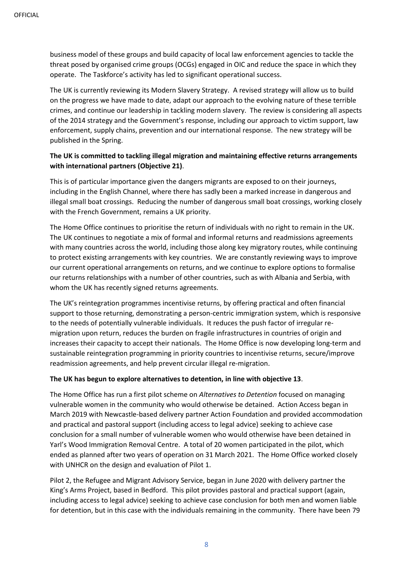business model of these groups and build capacity of local law enforcement agencies to tackle the threat posed by organised crime groups (OCGs) engaged in OIC and reduce the space in which they operate. The Taskforce's activity has led to significant operational success.

The UK is currently reviewing its Modern Slavery Strategy. A revised strategy will allow us to build on the progress we have made to date, adapt our approach to the evolving nature of these terrible crimes, and continue our leadership in tackling modern slavery. The review is considering all aspects of the 2014 strategy and the Government's response, including our approach to victim support, law enforcement, supply chains, prevention and our international response. The new strategy will be published in the Spring.

#### **The UK is committed to tackling illegal migration and maintaining effective returns arrangements with international partners (Objective 21)**.

This is of particular importance given the dangers migrants are exposed to on their journeys, including in the English Channel, where there has sadly been a marked increase in dangerous and illegal small boat crossings. Reducing the number of dangerous small boat crossings, working closely with the French Government, remains a UK priority.

The Home Office continues to prioritise the return of individuals with no right to remain in the UK. The UK continues to negotiate a mix of formal and informal returns and readmissions agreements with many countries across the world, including those along key migratory routes, while continuing to protect existing arrangements with key countries. We are constantly reviewing ways to improve our current operational arrangements on returns, and we continue to explore options to formalise our returns relationships with a number of other countries, such as with Albania and Serbia, with whom the UK has recently signed returns agreements.

The UK's reintegration programmes incentivise returns, by offering practical and often financial support to those returning, demonstrating a person-centric immigration system, which is responsive to the needs of potentially vulnerable individuals. It reduces the push factor of irregular remigration upon return, reduces the burden on fragile infrastructures in countries of origin and increases their capacity to accept their nationals. The Home Office is now developing long-term and sustainable reintegration programming in priority countries to incentivise returns, secure/improve readmission agreements, and help prevent circular illegal re-migration.

#### **The UK has begun to explore alternatives to detention, in line with objective 13**.

The Home Office has run a first pilot scheme on *Alternatives to Detention* focused on managing vulnerable women in the community who would otherwise be detained. Action Access began in March 2019 with Newcastle-based delivery partner Action Foundation and provided accommodation and practical and pastoral support (including access to legal advice) seeking to achieve case conclusion for a small number of vulnerable women who would otherwise have been detained in Yarl's Wood Immigration Removal Centre. A total of 20 women participated in the pilot, which ended as planned after two years of operation on 31 March 2021. The Home Office worked closely with UNHCR on the design and evaluation of Pilot 1.

Pilot 2, the Refugee and Migrant Advisory Service, began in June 2020 with delivery partner the King's Arms Project, based in Bedford. This pilot provides pastoral and practical support (again, including access to legal advice) seeking to achieve case conclusion for both men and women liable for detention, but in this case with the individuals remaining in the community. There have been 79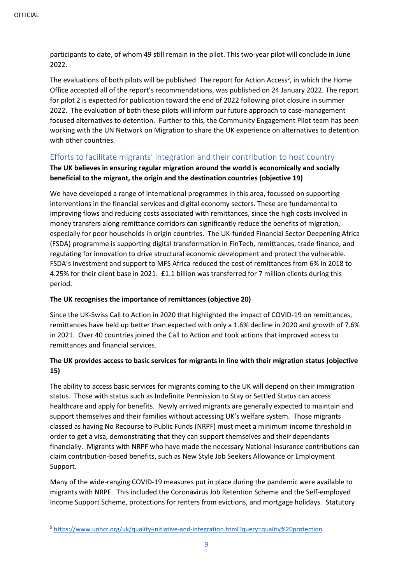participants to date, of whom 49 still remain in the pilot. This two-year pilot will conclude in June 2022.

The evaluations of both pilots will be published. The report for Action Access<sup>5</sup>, in which the Home Office accepted all of the report's recommendations, was published on 24 January 2022. The report for pilot 2 is expected for publication toward the end of 2022 following pilot closure in summer 2022. The evaluation of both these pilots will inform our future approach to case-management focused alternatives to detention. Further to this, the Community Engagement Pilot team has been working with the UN Network on Migration to share the UK experience on alternatives to detention with other countries.

### Efforts to facilitate migrants' integration and their contribution to host country

#### **The UK believes in ensuring regular migration around the world is economically and socially beneficial to the migrant, the origin and the destination countries (objective 19)**

We have developed a range of international programmes in this area, focussed on supporting interventions in the financial services and digital economy sectors. These are fundamental to improving flows and reducing costs associated with remittances, since the high costs involved in money transfers along remittance corridors can significantly reduce the benefits of migration, especially for poor households in origin countries. The UK-funded Financial Sector Deepening Africa (FSDA) programme is supporting digital transformation in FinTech, remittances, trade finance, and regulating for innovation to drive structural economic development and protect the vulnerable. FSDA's investment and support to MFS Africa reduced the cost of remittances from 6% in 2018 to 4.25% for their client base in 2021. £1.1 billion was transferred for 7 million clients during this period.

#### **The UK recognises the importance of remittances (objective 20)**

Since the UK-Swiss Call to Action in 2020 that highlighted the impact of COVID-19 on remittances, remittances have held up better than expected with only a 1.6% decline in 2020 and growth of 7.6% in 2021. Over 40 countries joined the Call to Action and took actions that improved access to remittances and financial services.

#### **The UK provides access to basic services for migrants in line with their migration status (objective 15)**

The ability to access basic services for migrants coming to the UK will depend on their immigration status. Those with status such as Indefinite Permission to Stay or Settled Status can access healthcare and apply for benefits. Newly arrived migrants are generally expected to maintain and support themselves and their families without accessing UK's welfare system. Those migrants classed as having No Recourse to Public Funds (NRPF) must meet a minimum income threshold in order to get a visa, demonstrating that they can support themselves and their dependants financially. Migrants with NRPF who have made the necessary National Insurance contributions can claim contribution-based benefits, such as New Style Job Seekers Allowance or Employment Support.

Many of the wide-ranging COVID-19 measures put in place during the pandemic were available to migrants with NRPF. This included the Coronavirus Job Retention Scheme and the Self-employed Income Support Scheme, protections for renters from evictions, and mortgage holidays. Statutory

<sup>5</sup> <https://www.unhcr.org/uk/quality-initiative-and-integration.html?query=quality%20protection>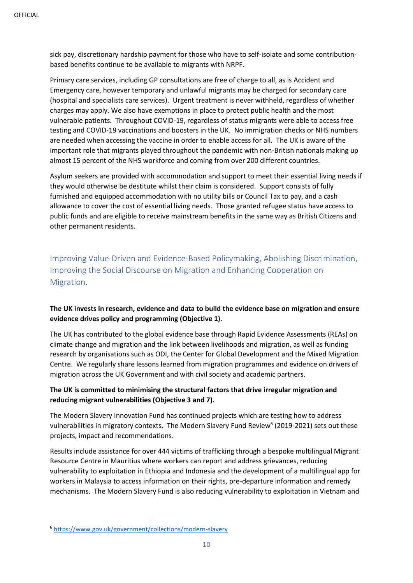sick pay, discretionary hardship payment for those who have to self-isolate and some contributionbased benefits continue to be available to migrants with NRPF.

Primary care services, including GP consultations are free of charge to all, as is Accident and Emergency care, however temporary and unlawful migrants may be charged for secondary care (hospital and specialists care services). Urgent treatment is never withheld, regardless of whether charges may apply. We also have exemptions in place to protect public health and the most vulnerable patients. Throughout COVID-19, regardless of status migrants were able to access free testing and COVID-19 vaccinations and boosters in the UK. No immigration checks or NHS numbers are needed when accessing the vaccine in order to enable access for all. The UK is aware of the important role that migrants played throughout the pandemic with non-British nationals making up almost 15 percent of the NHS workforce and coming from over 200 different countries.

Asylum seekers are provided with accommodation and support to meet their essential living needs if they would otherwise be destitute whilst their claim is considered. Support consists of fully furnished and equipped accommodation with no utility bills or Council Tax to pay, and a cash allowance to cover the cost of essential living needs. Those granted refugee status have access to public funds and are eligible to receive mainstream benefits in the same way as British Citizens and other permanent residents.

Improving Value-Driven and Evidence-Based Policymaking, Abolishing Discrimination, Improving the Social Discourse on Migration and Enhancing Cooperation on Migration.

#### **The UK invests in research, evidence and data to build the evidence base on migration and ensure evidence drives policy and programming (Objective 1)**.

The UK has contributed to the global evidence base through Rapid Evidence Assessments (REAs) on climate change and migration and the link between livelihoods and migration, as well as funding research by organisations such as ODI, the Center for Global Development and the Mixed Migration Centre. We regularly share lessons learned from migration programmes and evidence on drivers of migration across the UK Government and with civil society and academic partners.

#### **The UK is committed to minimising the structural factors that drive irregular migration and reducing migrant vulnerabilities (Objective 3 and 7).**

The Modern Slavery Innovation Fund has continued projects which are testing how to address vulnerabilities in migratory contexts. The Modern Slavery Fund Review<sup>6</sup> (2019-2021) sets out these projects, impact and recommendations.

Results include assistance for over 444 victims of trafficking through a bespoke multilingual Migrant Resource Centre in Mauritius where workers can report and address grievances, reducing vulnerability to exploitation in Ethiopia and Indonesia and the development of a multilingual app for workers in Malaysia to access information on their rights, pre-departure information and remedy mechanisms. The Modern Slavery Fund is also reducing vulnerability to exploitation in Vietnam and

<sup>6</sup> <https://www.gov.uk/government/collections/modern-slavery>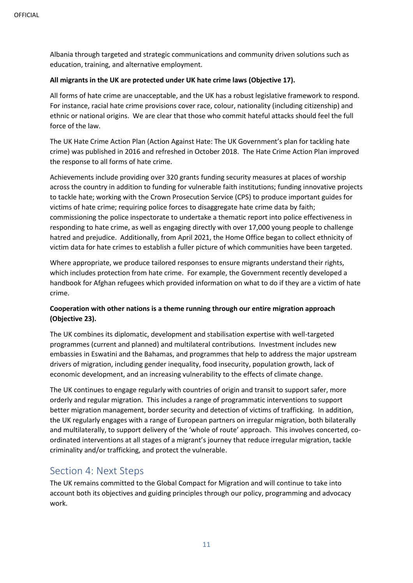Albania through targeted and strategic communications and community driven solutions such as education, training, and alternative employment.

#### **All migrants in the UK are protected under UK hate crime laws (Objective 17).**

All forms of hate crime are unacceptable, and the UK has a robust legislative framework to respond. For instance, racial hate crime provisions cover race, colour, nationality (including citizenship) and ethnic or national origins. We are clear that those who commit hateful attacks should feel the full force of the law.

The UK Hate Crime Action Plan (Action Against Hate: The UK Government's plan for tackling hate crime) was published in 2016 and refreshed in October 2018. The Hate Crime Action Plan improved the response to all forms of hate crime.

Achievements include providing over 320 grants funding security measures at places of worship across the country in addition to funding for vulnerable faith institutions; funding innovative projects to tackle hate; working with the Crown Prosecution Service (CPS) to produce important guides for victims of hate crime; requiring police forces to disaggregate hate crime data by faith; commissioning the police inspectorate to undertake a thematic report into police effectiveness in responding to hate crime, as well as engaging directly with over 17,000 young people to challenge hatred and prejudice. Additionally, from April 2021, the Home Office began to collect ethnicity of victim data for hate crimes to establish a fuller picture of which communities have been targeted.

Where appropriate, we produce tailored responses to ensure migrants understand their rights, which includes protection from hate crime. For example, the Government recently developed a handbook for Afghan refugees which provided information on what to do if they are a victim of hate crime.

#### **Cooperation with other nations is a theme running through our entire migration approach (Objective 23).**

The UK combines its diplomatic, development and stabilisation expertise with well-targeted programmes (current and planned) and multilateral contributions. Investment includes new embassies in Eswatini and the Bahamas, and programmes that help to address the major upstream drivers of migration, including gender inequality, food insecurity, population growth, lack of economic development, and an increasing vulnerability to the effects of climate change.

The UK continues to engage regularly with countries of origin and transit to support safer, more orderly and regular migration. This includes a range of programmatic interventions to support better migration management, border security and detection of victims of trafficking. In addition, the UK regularly engages with a range of European partners on irregular migration, both bilaterally and multilaterally, to support delivery of the 'whole of route' approach. This involves concerted, coordinated interventions at all stages of a migrant's journey that reduce irregular migration, tackle criminality and/or trafficking, and protect the vulnerable.

## Section 4: Next Steps

The UK remains committed to the Global Compact for Migration and will continue to take into account both its objectives and guiding principles through our policy, programming and advocacy work.